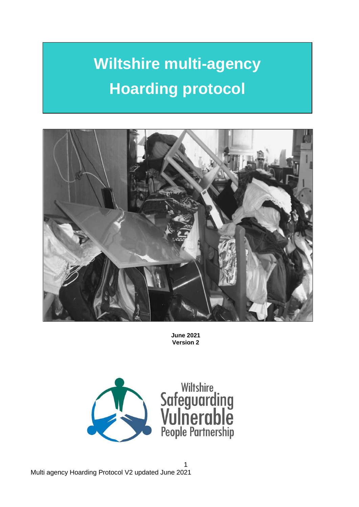# **Wiltshire multi-agency Hoarding protocol**



**June 2021 Version 2**

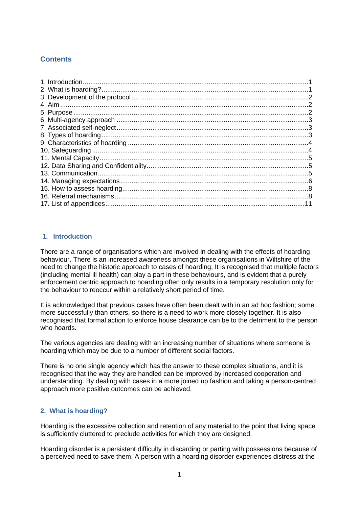## **Contents**

| .5 |
|----|
|    |
|    |
|    |
|    |
|    |
|    |

## <span id="page-1-0"></span>**1. Introduction**

There are a range of organisations which are involved in dealing with the effects of hoarding behaviour. There is an increased awareness amongst these organisations in Wiltshire of the need to change the historic approach to cases of hoarding. It is recognised that multiple factors (including mental ill health) can play a part in these behaviours, and is evident that a purely enforcement centric approach to hoarding often only results in a temporary resolution only for the behaviour to reoccur within a relatively short period of time.

It is acknowledged that previous cases have often been dealt with in an ad hoc fashion; some more successfully than others, so there is a need to work more closely together. It is also recognised that formal action to enforce house clearance can be to the detriment to the person who hoards.

The various agencies are dealing with an increasing number of situations where someone is hoarding which may be due to a number of different social factors.

There is no one single agency which has the answer to these complex situations, and it is recognised that the way they are handled can be improved by increased cooperation and understanding. By dealing with cases in a more joined up fashion and taking a person-centred approach more positive outcomes can be achieved.

## <span id="page-1-1"></span>**2. What is hoarding?**

Hoarding is the excessive collection and retention of any material to the point that living space is sufficiently cluttered to preclude activities for which they are designed.

Hoarding disorder is a persistent difficulty in discarding or parting with possessions because of a perceived need to save them. A person with a hoarding disorder experiences distress at the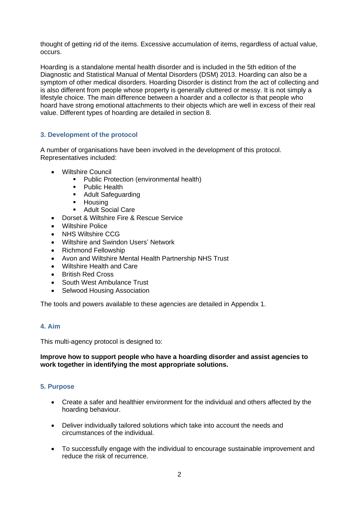thought of getting rid of the items. Excessive accumulation of items, regardless of actual value, occurs.

Hoarding is a standalone mental health disorder and is included in the 5th edition of the Diagnostic and Statistical Manual of Mental Disorders (DSM) 2013. Hoarding can also be a symptom of other medical disorders. Hoarding Disorder is distinct from the act of collecting and is also different from people whose property is generally cluttered or messy. It is not simply a lifestyle choice. The main difference between a hoarder and a collector is that people who hoard have strong emotional attachments to their objects which are well in excess of their real value. Different types of hoarding are detailed in section 8.

## <span id="page-2-0"></span>**3. Development of the protocol**

A number of organisations have been involved in the development of this protocol. Representatives included:

- Wiltshire Council
	- Public Protection (environmental health)
	- Public Health
	- Adult Safeguarding
	- Housing
	- Adult Social Care
- Dorset & Wiltshire Fire & Rescue Service
- **Wiltshire Police**
- NHS Wiltshire CCG
- Wiltshire and Swindon Users' Network
- Richmond Fellowship
- Avon and Wiltshire Mental Health Partnership NHS Trust
- Wiltshire Health and Care
- British Red Cross
- South West Ambulance Trust
- Selwood Housing Association

The tools and powers available to these agencies are detailed in Appendix 1.

#### <span id="page-2-1"></span>**4. Aim**

This multi-agency protocol is designed to:

#### **Improve how to support people who have a hoarding disorder and assist agencies to work together in identifying the most appropriate solutions.**

#### <span id="page-2-2"></span>**5. Purpose**

- Create a safer and healthier environment for the individual and others affected by the hoarding behaviour.
- Deliver individually tailored solutions which take into account the needs and circumstances of the individual.
- To successfully engage with the individual to encourage sustainable improvement and reduce the risk of recurrence.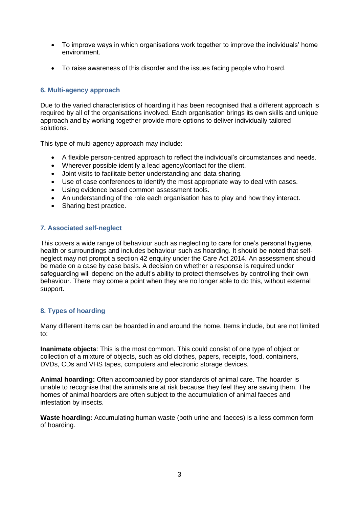- To improve ways in which organisations work together to improve the individuals' home environment.
- To raise awareness of this disorder and the issues facing people who hoard.

## <span id="page-3-0"></span>**6. Multi-agency approach**

Due to the varied characteristics of hoarding it has been recognised that a different approach is required by all of the organisations involved. Each organisation brings its own skills and unique approach and by working together provide more options to deliver individually tailored solutions.

This type of multi-agency approach may include:

- A flexible person-centred approach to reflect the individual's circumstances and needs.
- Wherever possible identify a lead agency/contact for the client.
- Joint visits to facilitate better understanding and data sharing.
- Use of case conferences to identify the most appropriate way to deal with cases.
- Using evidence based common assessment tools.
- An understanding of the role each organisation has to play and how they interact.
- Sharing best practice.

## <span id="page-3-1"></span>**7. Associated self-neglect**

This covers a wide range of behaviour such as neglecting to care for one's personal hygiene, health or surroundings and includes behaviour such as hoarding. It should be noted that selfneglect may not prompt a section 42 enquiry under the Care Act 2014. An assessment should be made on a case by case basis. A decision on whether a response is required under safeguarding will depend on the adult's ability to protect themselves by controlling their own behaviour. There may come a point when they are no longer able to do this, without external support.

#### <span id="page-3-2"></span>**8. Types of hoarding**

Many different items can be hoarded in and around the home. Items include, but are not limited to:

**Inanimate objects**: This is the most common. This could consist of one type of object or collection of a mixture of objects, such as old clothes, papers, receipts, food, containers, DVDs, CDs and VHS tapes, computers and electronic storage devices.

**Animal hoarding:** Often accompanied by poor standards of animal care. The hoarder is unable to recognise that the animals are at risk because they feel they are saving them. The homes of animal hoarders are often subject to the accumulation of animal faeces and infestation by insects.

**Waste hoarding:** Accumulating human waste (both urine and faeces) is a less common form of hoarding.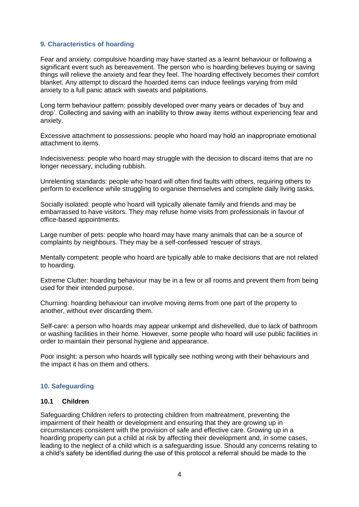#### <span id="page-4-0"></span>**9. Characteristics of hoarding**

Fear and anxiety: compulsive hoarding may have started as a learnt behaviour or following a significant event such as bereavement. The person who is hoarding believes buying or saving things will relieve the anxiety and fear they feel. The hoarding effectively becomes their comfort blanket. Any attempt to discard the hoarded items can induce feelings varying from mild anxiety to a full panic attack with sweats and palpitations.

Long term behaviour pattern: possibly developed over many years or decades of 'buy and drop'. Collecting and saving with an inability to throw away items without experiencing fear and anxiety.

Excessive attachment to possessions: people who hoard may hold an inappropriate emotional attachment to items.

Indecisiveness: people who hoard may struggle with the decision to discard items that are no longer necessary, including rubbish.

Unrelenting standards: people who hoard will often find faults with others, requiring others to perform to excellence while struggling to organise themselves and complete daily living tasks.

Socially isolated: people who hoard will typically alienate family and friends and may be embarrassed to have visitors. They may refuse home visits from professionals in favour of office-based appointments.

Large number of pets: people who hoard may have many animals that can be a source of complaints by neighbours. They may be a self-confessed 'rescuer of strays.

Mentally competent: people who hoard are typically able to make decisions that are not related to hoarding.

Extreme Clutter: hoarding behaviour may be in a few or all rooms and prevent them from being used for their intended purpose.

Churning: hoarding behaviour can involve moving items from one part of the property to another, without ever discarding them.

Self-care: a person who hoards may appear unkempt and dishevelled, due to lack of bathroom or washing facilities in their home. However, some people who hoard will use public facilities in order to maintain their personal hygiene and appearance.

Poor insight: a person who hoards will typically see nothing wrong with their behaviours and the impact it has on them and others.

#### <span id="page-4-1"></span>**10. Safeguarding**

#### **10.1 Children**

Safeguarding Children refers to protecting children from maltreatment, preventing the impairment of their health or development and ensuring that they are growing up in circumstances consistent with the provision of safe and effective care. Growing up in a hoarding property can put a child at risk by affecting their development and, in some cases, leading to the neglect of a child which is a safeguarding issue. Should any concerns relating to a child's safety be identified during the use of this protocol a referral should be made to the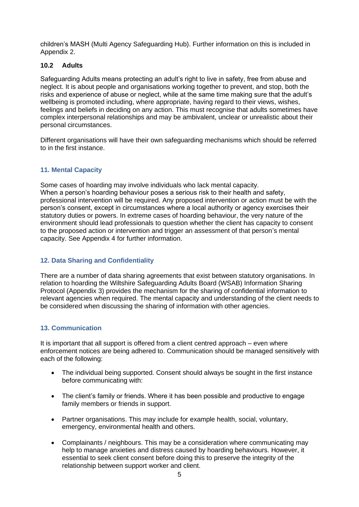children's MASH (Multi Agency Safeguarding Hub). Further information on this is included in Appendix 2.

## **10.2 Adults**

Safeguarding Adults means protecting an adult's right to live in safety, free from abuse and neglect. It is about people and organisations working together to prevent, and stop, both the risks and experience of abuse or neglect, while at the same time making sure that the adult's wellbeing is promoted including, where appropriate, having regard to their views, wishes, feelings and beliefs in deciding on any action. This must recognise that adults sometimes have complex interpersonal relationships and may be ambivalent, unclear or unrealistic about their personal circumstances.

Different organisations will have their own safeguarding mechanisms which should be referred to in the first instance.

## <span id="page-5-0"></span>**11. Mental Capacity**

Some cases of hoarding may involve individuals who lack mental capacity. When a person's hoarding behaviour poses a serious risk to their health and safety, professional intervention will be required. Any proposed intervention or action must be with the person's consent, except in circumstances where a local authority or agency exercises their statutory duties or powers. In extreme cases of hoarding behaviour, the very nature of the environment should lead professionals to question whether the client has capacity to consent to the proposed action or intervention and trigger an assessment of that person's mental capacity. See Appendix 4 for further information.

## <span id="page-5-1"></span>**12. Data Sharing and Confidentiality**

There are a number of data sharing agreements that exist between statutory organisations. In relation to hoarding the Wiltshire Safeguarding Adults Board (WSAB) Information Sharing Protocol (Appendix 3) provides the mechanism for the sharing of confidential information to relevant agencies when required. The mental capacity and understanding of the client needs to be considered when discussing the sharing of information with other agencies.

#### <span id="page-5-2"></span>**13. Communication**

It is important that all support is offered from a client centred approach – even where enforcement notices are being adhered to. Communication should be managed sensitively with each of the following:

- The individual being supported. Consent should always be sought in the first instance before communicating with:
- The client's family or friends. Where it has been possible and productive to engage family members or friends in support.
- Partner organisations. This may include for example health, social, voluntary, emergency, environmental health and others.
- Complainants / neighbours. This may be a consideration where communicating may help to manage anxieties and distress caused by hoarding behaviours. However, it essential to seek client consent before doing this to preserve the integrity of the relationship between support worker and client.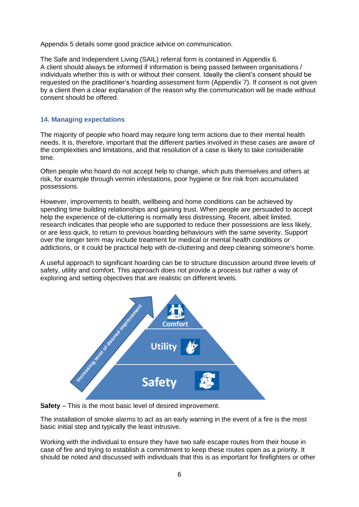Appendix 5 details some good practice advice on communication.

The Safe and Independent Living (SAIL) referral form is contained in Appendix 6. A client should always be informed if information is being passed between organisations / individuals whether this is with or without their consent. Ideally the client's consent should be requested on the practitioner's hoarding assessment form (Appendix 7). If consent is not given by a client then a clear explanation of the reason why the communication will be made without consent should be offered.

#### <span id="page-6-0"></span>**14. Managing expectations**

The majority of people who hoard may require long term actions due to their mental health needs. It is, therefore, important that the different parties involved in these cases are aware of the complexities and limitations, and that resolution of a case is likely to take considerable time.

Often people who hoard do not accept help to change, which puts themselves and others at risk, for example through vermin infestations, poor hygiene or fire risk from accumulated possessions.

However, improvements to health, wellbeing and home conditions can be achieved by spending time building relationships and gaining trust. When people are persuaded to accept help the experience of de-cluttering is normally less distressing. Recent, albeit limited, research indicates that people who are supported to reduce their possessions are less likely, or are less quick, to return to previous hoarding behaviours with the same severity. Support over the longer term may include treatment for medical or mental health conditions or addictions, or it could be practical help with de-cluttering and deep cleaning someone's home.

A useful approach to significant hoarding can be to structure discussion around three levels of safety, utility and comfort. This approach does not provide a process but rather a way of exploring and setting objectives that are realistic on different levels.



**Safety** – This is the most basic level of desired improvement.

The installation of smoke alarms to act as an early warning in the event of a fire is the most basic initial step and typically the least intrusive.

Working with the individual to ensure they have two safe escape routes from their house in case of fire and trying to establish a commitment to keep these routes open as a priority. It should be noted and discussed with individuals that this is as important for firefighters or other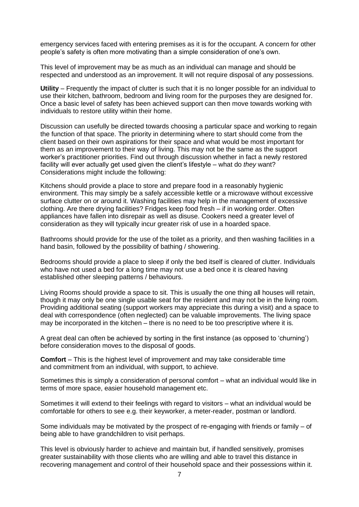emergency services faced with entering premises as it is for the occupant. A concern for other people's safety is often more motivating than a simple consideration of one's own.

This level of improvement may be as much as an individual can manage and should be respected and understood as an improvement. It will not require disposal of any possessions.

**Utility** – Frequently the impact of clutter is such that it is no longer possible for an individual to use their kitchen, bathroom, bedroom and living room for the purposes they are designed for. Once a basic level of safety has been achieved support can then move towards working with individuals to restore utility within their home.

Discussion can usefully be directed towards choosing a particular space and working to regain the function of that space. The priority in determining where to start should come from the client based on their own aspirations for their space and what would be most important for them as an improvement to their way of living. This may not be the same as the support worker's practitioner priorities. Find out through discussion whether in fact a newly restored facility will ever actually get used given the client's lifestyle – what do *they* want? Considerations might include the following:

Kitchens should provide a place to store and prepare food in a reasonably hygienic environment. This may simply be a safely accessible kettle or a microwave without excessive surface clutter on or around it. Washing facilities may help in the management of excessive clothing. Are there drying facilities? Fridges keep food fresh – if in working order. Often appliances have fallen into disrepair as well as disuse. Cookers need a greater level of consideration as they will typically incur greater risk of use in a hoarded space.

Bathrooms should provide for the use of the toilet as a priority, and then washing facilities in a hand basin, followed by the possibility of bathing / showering.

Bedrooms should provide a place to sleep if only the bed itself is cleared of clutter. Individuals who have not used a bed for a long time may not use a bed once it is cleared having established other sleeping patterns / behaviours.

Living Rooms should provide a space to sit. This is usually the one thing all houses will retain, though it may only be one single usable seat for the resident and may not be in the living room. Providing additional seating (support workers may appreciate this during a visit) and a space to deal with correspondence (often neglected) can be valuable improvements. The living space may be incorporated in the kitchen – there is no need to be too prescriptive where it is.

A great deal can often be achieved by sorting in the first instance (as opposed to 'churning') before consideration moves to the disposal of goods.

**Comfort** – This is the highest level of improvement and may take considerable time and commitment from an individual, with support, to achieve.

Sometimes this is simply a consideration of personal comfort – what an individual would like in terms of more space, easier household management etc.

Sometimes it will extend to their feelings with regard to visitors – what an individual would be comfortable for others to see e.g. their keyworker, a meter-reader, postman or landlord.

Some individuals may be motivated by the prospect of re-engaging with friends or family – of being able to have grandchildren to visit perhaps.

This level is obviously harder to achieve and maintain but, if handled sensitively, promises greater sustainability with those clients who are willing and able to travel this distance in recovering management and control of their household space and their possessions within it.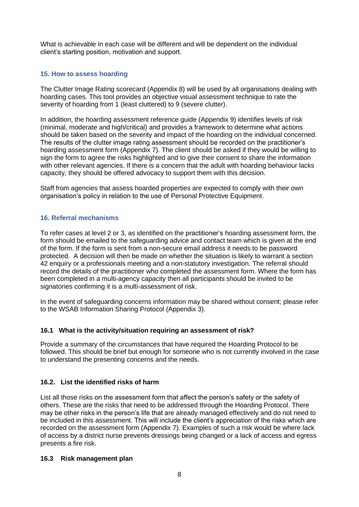What is achievable in each case will be different and will be dependent on the individual client's starting position, motivation and support.

## <span id="page-8-0"></span>**15. How to assess hoarding**

The Clutter Image Rating scorecard (Appendix 8) will be used by all organisations dealing with hoarding cases. This tool provides an objective visual assessment technique to rate the severity of hoarding from 1 (least cluttered) to 9 (severe clutter).

In addition, the hoarding assessment reference guide (Appendix 9) identifies levels of risk (minimal, moderate and high/critical) and provides a framework to determine what actions should be taken based on the severity and impact of the hoarding on the individual concerned. The results of the clutter image rating assessment should be recorded on the practitioner's hoarding assessment form (Appendix 7). The client should be asked if they would be willing to sign the form to agree the risks highlighted and to give their consent to share the information with other relevant agencies. If there is a concern that the adult with hoarding behaviour lacks capacity, they should be offered advocacy to support them with this decision.

Staff from agencies that assess hoarded properties are expected to comply with their own organisation's policy in relation to the use of Personal Protective Equipment.

## <span id="page-8-1"></span>**16. Referral mechanisms**

To refer cases at level 2 or 3, as identified on the practitioner's hoarding assessment form, the form should be emailed to the safeguarding advice and contact team which is given at the end of the form. If the form is sent from a non-secure email address it needs to be password protected. A decision will then be made on whether the situation is likely to warrant a section 42 enquiry or a professionals meeting and a non-statutory investigation. The referral should record the details of the practitioner who completed the assessment form. Where the form has been completed in a multi-agency capacity then all participants should be invited to be signatories confirming it is a multi-assessment of risk.

In the event of safeguarding concerns information may be shared without consent; please refer to the WSAB Information Sharing Protocol (Appendix 3).

## **16.1 What is the activity/situation requiring an assessment of risk?**

Provide a summary of the circumstances that have required the Hoarding Protocol to be followed. This should be brief but enough for someone who is not currently involved in the case to understand the presenting concerns and the needs.

## **16.2. List the identified risks of harm**

List all those risks on the assessment form that affect the person's safety or the safety of others. These are the risks that need to be addressed through the Hoarding Protocol. There may be other risks in the person's life that are already managed effectively and do not need to be included in this assessment. This will include the client's appreciation of the risks which are recorded on the assessment form (Appendix 7). Examples of such a risk would be where lack of access by a district nurse prevents dressings being changed or a lack of access and egress presents a fire risk.

#### **16.3 Risk management plan**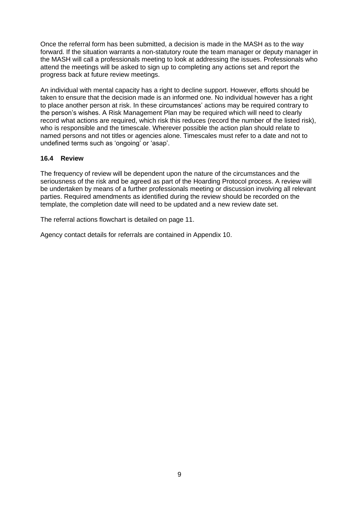Once the referral form has been submitted, a decision is made in the MASH as to the way forward. If the situation warrants a non-statutory route the team manager or deputy manager in the MASH will call a professionals meeting to look at addressing the issues. Professionals who attend the meetings will be asked to sign up to completing any actions set and report the progress back at future review meetings.

An individual with mental capacity has a right to decline support. However, efforts should be taken to ensure that the decision made is an informed one. No individual however has a right to place another person at risk. In these circumstances' actions may be required contrary to the person's wishes. A Risk Management Plan may be required which will need to clearly record what actions are required, which risk this reduces (record the number of the listed risk), who is responsible and the timescale. Wherever possible the action plan should relate to named persons and not titles or agencies alone. Timescales must refer to a date and not to undefined terms such as 'ongoing' or 'asap'.

## **16.4 Review**

The frequency of review will be dependent upon the nature of the circumstances and the seriousness of the risk and be agreed as part of the Hoarding Protocol process. A review will be undertaken by means of a further professionals meeting or discussion involving all relevant parties. Required amendments as identified during the review should be recorded on the template, the completion date will need to be updated and a new review date set.

The referral actions flowchart is detailed on page 11.

Agency contact details for referrals are contained in Appendix 10.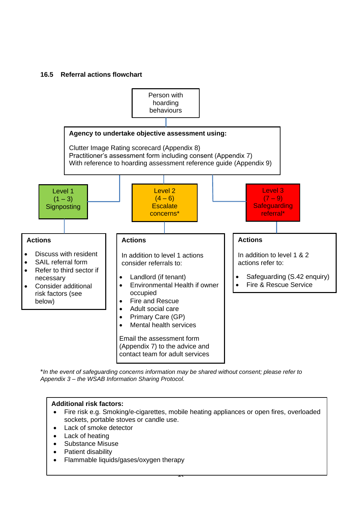## **16.5 Referral actions flowchart**



\**In the event of safeguarding concerns information may be shared without consent; please refer to Appendix 3 – the WSAB Information Sharing Protocol.* 

#### **Additional risk factors:**

• Fire risk e.g. Smoking/e-cigarettes, mobile heating appliances or open fires, overloaded sockets, portable stoves or candle use.

 $\overline{1}$ 

- Lack of smoke detector
- Lack of heating
- <span id="page-10-0"></span>• Substance Misuse
- Patient disability
- Flammable liquids/gases/oxygen therapy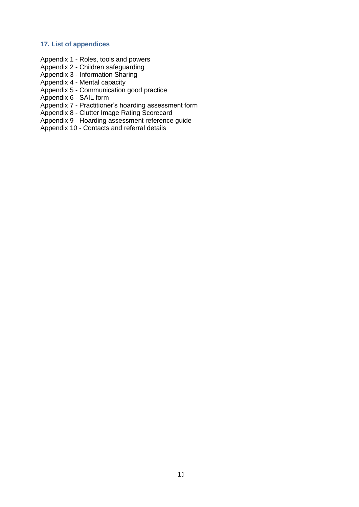#### **17. List of appendices**

- Appendix 1 Roles, tools and powers
- Appendix 2 Children safeguarding
- Appendix 3 Information Sharing
- Appendix 4 Mental capacity
- Appendix 5 Communication good practice
- Appendix 6 SAIL form
- Appendix 7 Practitioner's hoarding assessment form
- Appendix 8 Clutter Image Rating Scorecard
- Appendix 9 Hoarding assessment reference guide
- Appendix 10 Contacts and referral details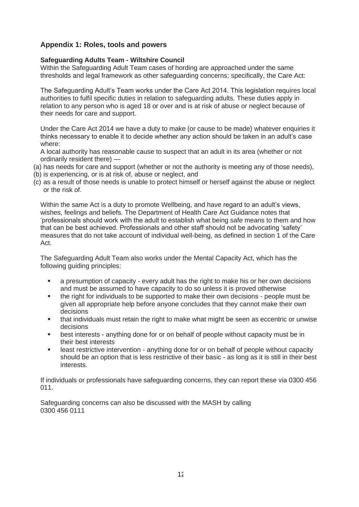## **Appendix 1: Roles, tools and powers**

#### **Safeguarding Adults Team - Wiltshire Council**

Within the Safeguarding Adult Team cases of hording are approached under the same thresholds and legal framework as other safeguarding concerns; specifically, the Care Act:

The Safeguarding Adult's Team works under the Care Act 2014. This legislation requires local authorities to fulfil specific duties in relation to safeguarding adults. These duties apply in relation to any person who is aged 18 or over and is at risk of abuse or neglect because of their needs for care and support.

Under the Care Act 2014 we have a duty to make (or cause to be made) whatever enquiries it thinks necessary to enable it to decide whether any action should be taken in an adult's case where:

A local authority has reasonable cause to suspect that an adult in its area (whether or not ordinarily resident there) —

- (a) has needs for care and support (whether or not the authority is meeting any of those needs),
- (b) is experiencing, or is at risk of, abuse or neglect, and
- (c) as a result of those needs is unable to protect himself or herself against the abuse or neglect or the risk of.

Within the same Act is a duty to promote Wellbeing, and have regard to an adult's views, wishes, feelings and beliefs. The Department of Health Care Act Guidance notes that 'professionals should work with the adult to establish what being safe means to them and how that can be best achieved. Professionals and other staff should not be advocating 'safety' measures that do not take account of individual well-being, as defined in section 1 of the Care Act.

The Safeguarding Adult Team also works under the Mental Capacity Act, which has the following guiding principles:

- **•** a presumption of capacity every adult has the right to make his or her own decisions and must be assumed to have capacity to do so unless it is proved otherwise
- the right for individuals to be supported to make their own decisions people must be given all appropriate help before anyone concludes that they cannot make their own decisions
- that individuals must retain the right to make what might be seen as eccentric or unwise decisions
- best interests anything done for or on behalf of people without capacity must be in their best interests
- **•** least restrictive intervention anything done for or on behalf of people without capacity should be an option that is less restrictive of their basic - as long as it is still in their best interests.

If individuals or professionals have safeguarding concerns, they can report these via 0300 456 011.

Safeguarding concerns can also be discussed with the MASH by calling 0300 456 0111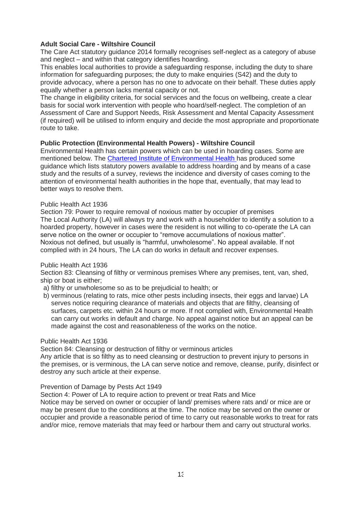## **Adult Social Care - Wiltshire Council**

The Care Act statutory guidance 2014 formally recognises self-neglect as a category of abuse and neglect – and within that category identifies hoarding.

This enables local authorities to provide a safeguarding response, including the duty to share information for safeguarding purposes; the duty to make enquiries (S42) and the duty to provide advocacy, where a person has no one to advocate on their behalf. These duties apply equally whether a person lacks mental capacity or not.

The change in eligibility criteria, for social services and the focus on wellbeing, create a clear basis for social work intervention with people who hoard/self-neglect. The completion of an Assessment of Care and Support Needs, Risk Assessment and Mental Capacity Assessment (if required) will be utilised to inform enquiry and decide the most appropriate and proportionate route to take.

#### **Public Protection (Environmental Health Powers) - Wiltshire Council**

Environmental Health has certain powers which can be used in hoarding cases. Some are mentioned below. The [Chartered Institute of Environmental Health h](https://www.cieh.org/media/1248/hoarding-and-how-to-approach-it-guidance-for-environmental-health-officers-and-others.pdf)as produced some guidance which lists statutory powers available to address hoarding and by means of a case study and the results of a survey, reviews the incidence and diversity of cases coming to the attention of environmental health authorities in the hope that, eventually, that may lead to better ways to resolve them.

#### Public Health Act 1936

Section 79: Power to require removal of noxious matter by occupier of premises The Local Authority (LA) will always try and work with a householder to identify a solution to a hoarded property, however in cases were the resident is not willing to co-operate the LA can serve notice on the owner or occupier to "remove accumulations of noxious matter". Noxious not defined, but usually is "harmful, unwholesome". No appeal available. If not complied with in 24 hours, The LA can do works in default and recover expenses.

#### Public Health Act 1936

Section 83: Cleansing of filthy or verminous premises Where any premises, tent, van, shed, ship or boat is either;

- a) filthy or unwholesome so as to be prejudicial to health; or
- b) verminous (relating to rats, mice other pests including insects, their eggs and larvae) LA serves notice requiring clearance of materials and objects that are filthy, cleansing of surfaces, carpets etc. within 24 hours or more. If not complied with, Environmental Health can carry out works in default and charge. No appeal against notice but an appeal can be made against the cost and reasonableness of the works on the notice.

#### Public Health Act 1936

Section 84: Cleansing or destruction of filthy or verminous articles

Any article that is so filthy as to need cleansing or destruction to prevent injury to persons in the premises, or is verminous, the LA can serve notice and remove, cleanse, purify, disinfect or destroy any such article at their expense.

#### Prevention of Damage by Pests Act 1949

Section 4: Power of LA to require action to prevent or treat Rats and Mice

Notice may be served on owner or occupier of land/ premises where rats and/ or mice are or may be present due to the conditions at the time. The notice may be served on the owner or occupier and provide a reasonable period of time to carry out reasonable works to treat for rats and/or mice, remove materials that may feed or harbour them and carry out structural works.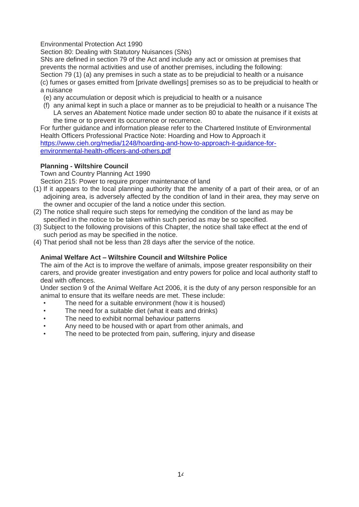Environmental Protection Act 1990

Section 80: Dealing with Statutory Nuisances (SNs)

SNs are defined in section 79 of the Act and include any act or omission at premises that prevents the normal activities and use of another premises, including the following:

Section 79 (1) (a) any premises in such a state as to be prejudicial to health or a nuisance (c) fumes or gases emitted from [private dwellings] premises so as to be prejudicial to health or a nuisance

- (e) any accumulation or deposit which is prejudicial to health or a nuisance
- (f) any animal kept in such a place or manner as to be prejudicial to health or a nuisance The LA serves an Abatement Notice made under section 80 to abate the nuisance if it exists at the time or to prevent its occurrence or recurrence.

For further guidance and information please refer to the Chartered Institute of Environmental Health Officers Professional Practice Note: Hoarding and How to Approach it [https://www.cieh.org/media/1248/hoarding-and-how-to-approach-it-guidance-for](https://www.cieh.org/media/1248/hoarding-and-how-to-approach-it-guidance-for-environmental-health-officers-and-others.pdf)[environmental-health-officers-and-others.pdf](https://www.cieh.org/media/1248/hoarding-and-how-to-approach-it-guidance-for-environmental-health-officers-and-others.pdf)

## **Planning - Wiltshire Council**

Town and Country Planning Act 1990

Section 215: Power to require proper maintenance of land

- (1) If it appears to the local planning authority that the amenity of a part of their area, or of an adjoining area, is adversely affected by the condition of land in their area, they may serve on the owner and occupier of the land a notice under this section.
- (2) The notice shall require such steps for remedying the condition of the land as may be specified in the notice to be taken within such period as may be so specified.
- (3) Subject to the following provisions of this Chapter, the notice shall take effect at the end of such period as may be specified in the notice.
- (4) That period shall not be less than 28 days after the service of the notice.

## **Animal Welfare Act – Wiltshire Council and Wiltshire Police**

The aim of the Act is to improve the welfare of animals, impose greater responsibility on their carers, and provide greater investigation and entry powers for police and local authority staff to deal with offences.

Under section 9 of the Animal Welfare Act 2006, it is the duty of any person responsible for an animal to ensure that its welfare needs are met. These include:

- The need for a suitable environment (how it is housed)
- The need for a suitable diet (what it eats and drinks)
- The need to exhibit normal behaviour patterns
- Any need to be housed with or apart from other animals, and
- The need to be protected from pain, suffering, injury and disease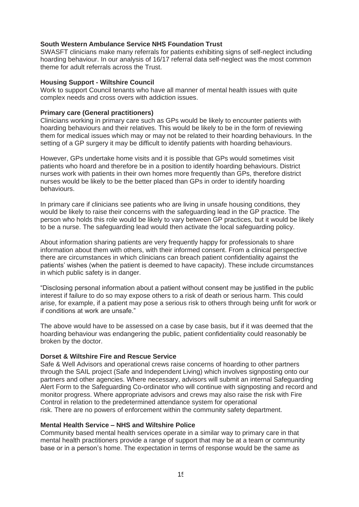#### **South Western Ambulance Service NHS Foundation Trust**

SWASFT clinicians make many referrals for patients exhibiting signs of self-neglect including hoarding behaviour. In our analysis of 16/17 referral data self-neglect was the most common theme for adult referrals across the Trust.

#### **Housing Support - Wiltshire Council**

Work to support Council tenants who have all manner of mental health issues with quite complex needs and cross overs with addiction issues.

#### **Primary care (General practitioners)**

Clinicians working in primary care such as GPs would be likely to encounter patients with hoarding behaviours and their relatives. This would be likely to be in the form of reviewing them for medical issues which may or may not be related to their hoarding behaviours. In the setting of a GP surgery it may be difficult to identify patients with hoarding behaviours.

However, GPs undertake home visits and it is possible that GPs would sometimes visit patients who hoard and therefore be in a position to identify hoarding behaviours. District nurses work with patients in their own homes more frequently than GPs, therefore district nurses would be likely to be the better placed than GPs in order to identify hoarding behaviours.

In primary care if clinicians see patients who are living in unsafe housing conditions, they would be likely to raise their concerns with the safeguarding lead in the GP practice. The person who holds this role would be likely to vary between GP practices, but it would be likely to be a nurse. The safeguarding lead would then activate the local safeguarding policy.

About information sharing patients are very frequently happy for professionals to share information about them with others, with their informed consent. From a clinical perspective there are circumstances in which clinicians can breach patient confidentiality against the patients' wishes (when the patient is deemed to have capacity). These include circumstances in which public safety is in danger.

"Disclosing personal information about a patient without consent may be justified in the public interest if failure to do so may expose others to a risk of death or serious harm. This could arise, for example, if a patient may pose a serious risk to others through being unfit for work or if conditions at work are unsafe."

The above would have to be assessed on a case by case basis, but if it was deemed that the hoarding behaviour was endangering the public, patient confidentiality could reasonably be broken by the doctor.

## **Dorset & Wiltshire Fire and Rescue Service**

Safe & Well Advisors and operational crews raise concerns of hoarding to other partners through the SAIL project (Safe and Independent Living) which involves signposting onto our partners and other agencies. Where necessary, advisors will submit an internal Safeguarding Alert Form to the Safeguarding Co-ordinator who will continue with signposting and record and monitor progress. Where appropriate advisors and crews may also raise the risk with Fire Control in relation to the predetermined attendance system for operational risk. There are no powers of enforcement within the community safety department.

#### **Mental Health Service – NHS and Wiltshire Police**

Community based mental health services operate in a similar way to primary care in that mental health practitioners provide a range of support that may be at a team or community base or in a person's home. The expectation in terms of response would be the same as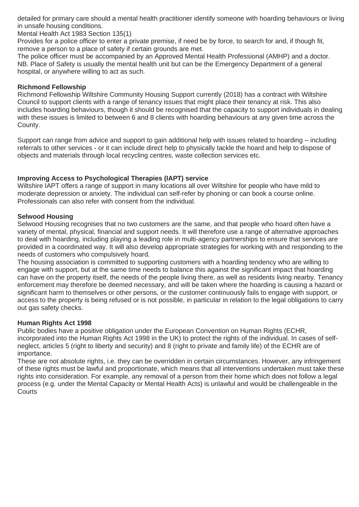detailed for primary care should a mental health practitioner identify someone with hoarding behaviours or living in unsafe housing conditions.

Mental Health Act 1983 Section 135(1)

Provides for a police officer to enter a private premise, if need be by force, to search for and, if though fit, remove a person to a place of safety if certain grounds are met.

The police officer must be accompanied by an Approved Mental Health Professional (AMHP) and a doctor. NB. Place of Safety is usually the mental health unit but can be the Emergency Department of a general hospital, or anywhere willing to act as such.

#### **Richmond Fellowship**

Richmond Fellowship Wiltshire Community Housing Support currently (2018) has a contract with Wiltshire Council to support clients with a range of tenancy issues that might place their tenancy at risk. This also includes hoarding behaviours, though it should be recognised that the capacity to support individuals in dealing with these issues is limited to between 6 and 8 clients with hoarding behaviours at any given time across the County.

Support can range from advice and support to gain additional help with issues related to hoarding – including referrals to other services - or it can include direct help to physically tackle the hoard and help to dispose of objects and materials through local recycling centres, waste collection services etc.

## **Improving Access to Psychological Therapies (IAPT) service**

Wiltshire IAPT offers a range of support in many locations all over Wiltshire for people who have mild to moderate depression or anxiety. The individual can self-refer by phoning or can book a course online. Professionals can also refer with consent from the individual.

## **Selwood Housing**

Selwood Housing recognises that no two customers are the same, and that people who hoard often have a variety of mental, physical, financial and support needs. It will therefore use a range of alternative approaches to deal with hoarding, including playing a leading role in multi-agency partnerships to ensure that services are provided in a coordinated way. It will also develop appropriate strategies for working with and responding to the needs of customers who compulsively hoard.

The housing association is committed to supporting customers with a hoarding tendency who are willing to engage with support, but at the same time needs to balance this against the significant impact that hoarding can have on the property itself, the needs of the people living there, as well as residents living nearby. Tenancy enforcement may therefore be deemed necessary, and will be taken where the hoarding is causing a hazard or significant harm to themselves or other persons, or the customer continuously fails to engage with support, or access to the property is being refused or is not possible, in particular in relation to the legal obligations to carry out gas safety checks.

#### **Human Rights Act 1998**

Public bodies have a positive obligation under the European Convention on Human Rights (ECHR, incorporated into the Human Rights Act 1998 in the UK) to protect the rights of the individual. In cases of selfneglect, articles 5 (right to liberty and security) and 8 (right to private and family life) of the ECHR are of importance.

These are not absolute rights, i.e. they can be overridden in certain circumstances. However, any infringement of these rights must be lawful and proportionate, which means that all interventions undertaken must take these rights into consideration. For example, any removal of a person from their home which does not follow a legal process (e.g. under the Mental Capacity or Mental Health Acts) is unlawful and would be challengeable in the **Courts**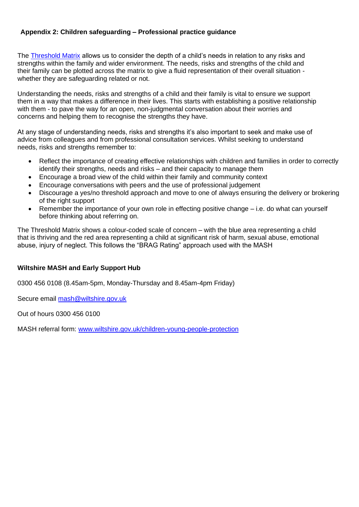## **Appendix 2: Children safeguarding – Professional practice guidance**

The [Threshold Matrix](https://www.wiltshirescb.org.uk/wp-content/uploads/2021/04/Threshold-Guidance_FINAL_Nov18_v1.2-2.pdf) allows us to consider the depth of a child's needs in relation to any risks and strengths within the family and wider environment. The needs, risks and strengths of the child and their family can be plotted across the matrix to give a fluid representation of their overall situation whether they are safeguarding related or not.

Understanding the needs, risks and strengths of a child and their family is vital to ensure we support them in a way that makes a difference in their lives. This starts with establishing a positive relationship with them - to pave the way for an open, non-judgmental conversation about their worries and concerns and helping them to recognise the strengths they have.

At any stage of understanding needs, risks and strengths it's also important to seek and make use of advice from colleagues and from professional consultation services. Whilst seeking to understand needs, risks and strengths remember to:

- Reflect the importance of creating effective relationships with children and families in order to correctly identify their strengths, needs and risks – and their capacity to manage them
- Encourage a broad view of the child within their family and community context
- Encourage conversations with peers and the use of professional judgement
- Discourage a yes/no threshold approach and move to one of always ensuring the delivery or brokering of the right support
- Remember the importance of your own role in effecting positive change i.e. do what can yourself before thinking about referring on.

The Threshold Matrix shows a colour-coded scale of concern – with the blue area representing a child that is thriving and the red area representing a child at significant risk of harm, sexual abuse, emotional abuse, injury of neglect. This follows the "BRAG Rating" approach used with the MASH

## **Wiltshire MASH and Early Support Hub**

0300 456 0108 (8.45am-5pm, Monday-Thursday and 8.45am-4pm Friday)

Secure email [mash@wiltshire.gov.uk](mailto:mash@wiltshire.gov.uk)

Out of hours 0300 456 0100

MASH referral form: [www.wiltshire.gov.uk/children-young-people-protection](http://www.wiltshire.gov.uk/children-young-people-protection)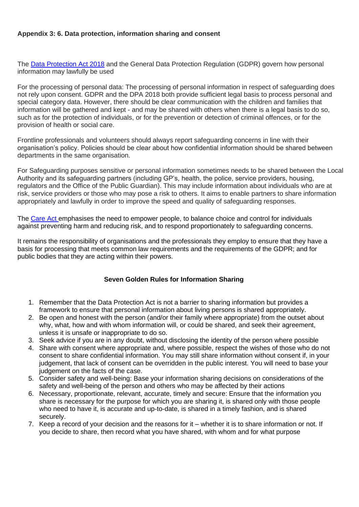## **Appendix 3: 6. Data protection, information sharing and consent**

The [Data Protection Act 2018](https://www.gov.uk/data-protection) and the General Data Protection Regulation (GDPR) govern how personal information may lawfully be used

For the processing of personal data: The processing of personal information in respect of safeguarding does not rely upon consent. GDPR and the DPA 2018 both provide sufficient legal basis to process personal and special category data. However, there should be clear communication with the children and families that information will be gathered and kept - and may be shared with others when there is a legal basis to do so, such as for the protection of individuals, or for the prevention or detection of criminal offences, or for the provision of health or social care.

Frontline professionals and volunteers should always report safeguarding concerns in line with their organisation's policy. Policies should be clear about how confidential information should be shared between departments in the same organisation.

For Safeguarding purposes sensitive or personal information sometimes needs to be shared between the Local Authority and its safeguarding partners (including GP's, health, the police, service providers, housing, regulators and the Office of the Public Guardian). This may include information about individuals who are at risk, service providers or those who may pose a risk to others. It aims to enable partners to share information appropriately and lawfully in order to improve the speed and quality of safeguarding responses.

The [Care Act](http://www.legislation.gov.uk/ukpga/2014/23/contents) emphasises the need to empower people, to balance choice and control for individuals against preventing harm and reducing risk, and to respond proportionately to safeguarding concerns.

It remains the responsibility of organisations and the professionals they employ to ensure that they have a basis for processing that meets common law requirements and the requirements of the GDPR; and for public bodies that they are acting within their powers.

#### **Seven Golden Rules for Information Sharing**

- 1. Remember that the Data Protection Act is not a barrier to sharing information but provides a framework to ensure that personal information about living persons is shared appropriately.
- 2. Be open and honest with the person (and/or their family where appropriate) from the outset about why, what, how and with whom information will, or could be shared, and seek their agreement, unless it is unsafe or inappropriate to do so.
- 3. Seek advice if you are in any doubt, without disclosing the identity of the person where possible
- 4. Share with consent where appropriate and, where possible, respect the wishes of those who do not consent to share confidential information. You may still share information without consent if, in your judgement, that lack of consent can be overridden in the public interest. You will need to base your judgement on the facts of the case.
- 5. Consider safety and well-being: Base your information sharing decisions on considerations of the safety and well-being of the person and others who may be affected by their actions
- 6. Necessary, proportionate, relevant, accurate, timely and secure: Ensure that the information you share is necessary for the purpose for which you are sharing it, is shared only with those people who need to have it, is accurate and up-to-date, is shared in a timely fashion, and is shared securely.
- 7. Keep a record of your decision and the reasons for it whether it is to share information or not. If you decide to share, then record what you have shared, with whom and for what purpose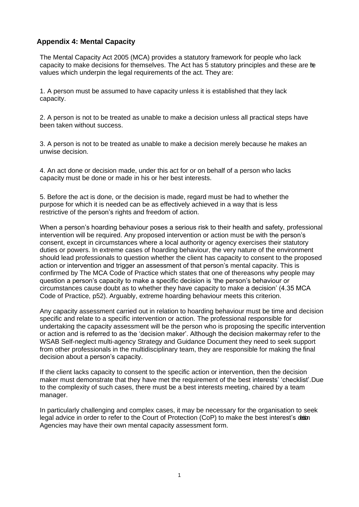## **Appendix 4: Mental Capacity**

The Mental Capacity Act 2005 (MCA) provides a statutory framework for people who lack capacity to make decisions for themselves. The Act has 5 statutory principles and these are the values which underpin the legal requirements of the act. They are:

1. A person must be assumed to have capacity unless it is established that they lack capacity.

2. A person is not to be treated as unable to make a decision unless all practical steps have been taken without success.

3. A person is not to be treated as unable to make a decision merely because he makes an unwise decision.

4. An act done or decision made, under this act for or on behalf of a person who lacks capacity must be done or made in his or her best interests.

5. Before the act is done, or the decision is made, regard must be had to whether the purpose for which it is needed can be as effectively achieved in a way that is less restrictive of the person's rights and freedom of action.

When a person's hoarding behaviour poses a serious risk to their health and safety, professional intervention will be required. Any proposed intervention or action must be with the person's consent, except in circumstances where a local authority or agency exercises their statutory duties or powers. In extreme cases of hoarding behaviour, the very nature of the environment should lead professionals to question whether the client has capacity to consent to the proposed action or intervention and trigger an assessment of that person's mental capacity. This is confirmed by The MCA Code of Practice which states that one of thereasons why people may question a person's capacity to make a specific decision is 'the person's behaviour or circumstances cause doubt as to whether they have capacity to make a decision' (4.35 MCA Code of Practice, p52). Arguably, extreme hoarding behaviour meets this criterion.

Any capacity assessment carried out in relation to hoarding behaviour must be time and decision specific and relate to a specific intervention or action. The professional responsible for undertaking the capacity assessment will be the person who is proposing the specific intervention or action and is referred to as the 'decision maker'. Although the decision makermay refer to the WSAB Self-neglect multi-agency Strategy and Guidance Document they need to seek support from other professionals in the multidisciplinary team, they are responsible for making the final decision about a person's capacity.

If the client lacks capacity to consent to the specific action or intervention, then the decision maker must demonstrate that they have met the requirement of the best interests' 'checklist'.Due to the complexity of such cases, there must be a best interests meeting, chaired by a team manager.

In particularly challenging and complex cases, it may be necessary for the organisation to seek legal advice in order to refer to the Court of Protection (CoP) to make the best interest's detion. Agencies may have their own mental capacity assessment form.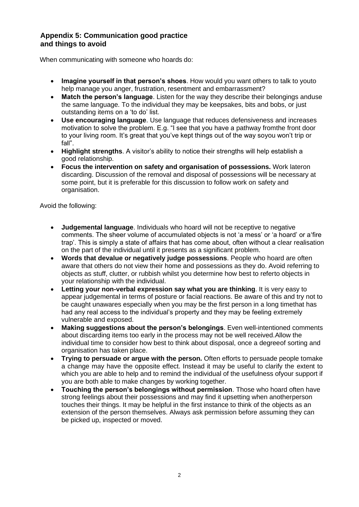## **Appendix 5: Communication good practice and things to avoid**

When communicating with someone who hoards do:

- **Imagine yourself in that person's shoes**. How would you want others to talk to youto help manage you anger, frustration, resentment and embarrassment?
- **Match the person's language**. Listen for the way they describe their belongings anduse the same language. To the individual they may be keepsakes, bits and bobs, or just outstanding items on a 'to do' list.
- **Use encouraging language**. Use language that reduces defensiveness and increases motivation to solve the problem. E.g. "I see that you have a pathway fromthe front door to your living room. It's great that you've kept things out of the way soyou won't trip or fall".
- **Highlight strengths**. A visitor's ability to notice their strengths will help establish a good relationship.
- **Focus the intervention on safety and organisation of possessions.** Work lateron discarding. Discussion of the removal and disposal of possessions will be necessary at some point, but it is preferable for this discussion to follow work on safety and organisation.

Avoid the following:

- **Judgemental language**. Individuals who hoard will not be receptive to negative comments. The sheer volume of accumulated objects is not 'a mess' or 'a hoard' or a'fire trap'. This is simply a state of affairs that has come about, often without a clear realisation on the part of the individual until it presents as a significant problem.
- **Words that devalue or negatively judge possessions**. People who hoard are often aware that others do not view their home and possessions as they do. Avoid referring to objects as stuff, clutter, or rubbish whilst you determine how best to referto objects in your relationship with the individual.
- **Letting your non-verbal expression say what you are thinking**. It is very easy to appear judgemental in terms of posture or facial reactions. Be aware of this and try not to be caught unawares especially when you may be the first person in a long timethat has had any real access to the individual's property and they may be feeling extremely vulnerable and exposed.
- **Making suggestions about the person's belongings**. Even well-intentioned comments about discarding items too early in the process may not be well received.Allow the individual time to consider how best to think about disposal, once a degreeof sorting and organisation has taken place.
- **Trying to persuade or argue with the person.** Often efforts to persuade people tomake a change may have the opposite effect. Instead it may be useful to clarify the extent to which you are able to help and to remind the individual of the usefulness ofyour support if you are both able to make changes by working together.
- **Touching the person's belongings without permission**. Those who hoard often have strong feelings about their possessions and may find it upsetting when anotherperson touches their things. It may be helpful in the first instance to think of the objects as an extension of the person themselves. Always ask permission before assuming they can be picked up, inspected or moved.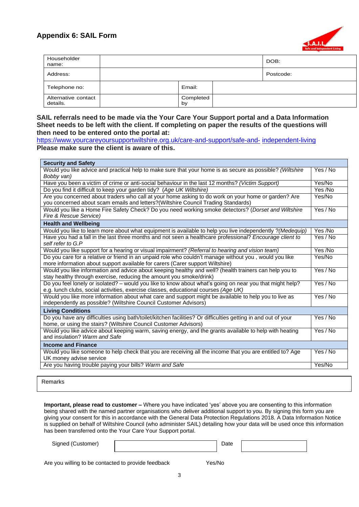

| Householder<br>name:            |                 | DOB:      |
|---------------------------------|-----------------|-----------|
| Address:                        |                 | Postcode: |
| Telephone no:                   | Email:          |           |
| Alternative contact<br>details. | Completed<br>by |           |

#### **SAIL referrals need to be made via the Your Care Your Support portal and a Data Information Sheet needs to be left with the client. If completing on paper the results of the questions will then need to be entered onto the portal at:**

| https://www.yourcareyoursupportwiltshire.org.uk/care-and-support/safe-and- independent-living |  |
|-----------------------------------------------------------------------------------------------|--|
| Please make sure the client is aware of this.                                                 |  |

| <b>Security and Safety</b>                                                                                                                                                                      |          |
|-------------------------------------------------------------------------------------------------------------------------------------------------------------------------------------------------|----------|
| Would you like advice and practical help to make sure that your home is as secure as possible? (Wiltshire<br>Bobby van)                                                                         | Yes / No |
| Have you been a victim of crime or anti-social behaviour in the last 12 months? (Victim Support)                                                                                                | Yes/No   |
| Do you find it difficult to keep your garden tidy? (Age UK Wiltshire)                                                                                                                           | Yes /No  |
| Are you concerned about traders who call at your home asking to do work on your home or garden? Are<br>you concerned about scam emails and letters? (Wiltshire Council Trading Standards)       | Yes/No   |
| Would you like a Home Fire Safety Check? Do you need working smoke detectors? (Dorset and Wiltshire<br>Fire & Rescue Service)                                                                   | Yes / No |
| <b>Health and Wellbeing</b>                                                                                                                                                                     |          |
| Would you like to learn more about what equipment is available to help you live independently ? (Medequip)                                                                                      | Yes /No  |
| Have you had a fall in the last three months and not seen a healthcare professional? Encourage client to<br>self refer to G.P                                                                   | Yes / No |
| Would you like support for a hearing or visual impairment? (Referral to hearing and vision team)                                                                                                | Yes /No  |
| Do you care for a relative or friend in an unpaid role who couldn't manage without you, would you like<br>more information about support available for carers (Carer support Wiltshire)         | Yes/No   |
| Would you like information and advice about keeping healthy and well? (health trainers can help you to<br>stay healthy through exercise, reducing the amount you smoke/drink)                   | Yes / No |
| Do you feel lonely or isolated? – would you like to know about what's going on near you that might help?<br>e.g. lunch clubs, social activities, exercise classes, educational courses (Age UK) | Yes / No |
| Would you like more information about what care and support might be available to help you to live as<br>independently as possible? (Wiltshire Council Customer Advisors)                       | Yes / No |
| <b>Living Conditions</b>                                                                                                                                                                        |          |
| Do you have any difficulties using bath/toilet/kitchen facilities? Or difficulties getting in and out of your<br>home, or using the stairs? (Wiltshire Council Customer Advisors)               | Yes / No |
| Would you like advice about keeping warm, saving energy, and the grants available to help with heating<br>and insulation? Warm and Safe                                                         | Yes / No |
| <b>Income and Finance</b>                                                                                                                                                                       |          |
| Would you like someone to help check that you are receiving all the income that you are entitled to? Age<br>UK money advise service                                                             | Yes / No |
| Are you having trouble paying your bills? Warm and Safe                                                                                                                                         | Yes/No   |
|                                                                                                                                                                                                 |          |

Remarks

**Important, please read to customer –** Where you have indicated 'yes' above you are consenting to this information being shared with the named partner organisations who deliver additional support to you. By signing this form you are giving your consent for this in accordance with the General Data Protection Regulations 2018. A Data Information Notice is supplied on behalf of Wiltshire Council (who administer SAIL) detailing how your data will be used once this information has been transferred onto the Your Care Your Support portal.

Signed (Customer) Date

Are you willing to be contacted to provide feedback Yes/No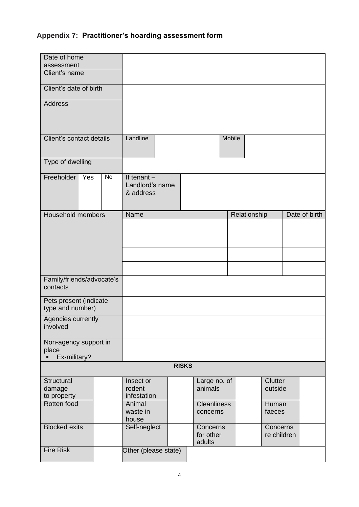## **Appendix 7: Practitioner's hoarding assessment form**

| Date of home                               |     |    |                                               |  |              |                                 |        |                           |                         |               |
|--------------------------------------------|-----|----|-----------------------------------------------|--|--------------|---------------------------------|--------|---------------------------|-------------------------|---------------|
| assessment                                 |     |    |                                               |  |              |                                 |        |                           |                         |               |
| Client's name                              |     |    |                                               |  |              |                                 |        |                           |                         |               |
| Client's date of birth                     |     |    |                                               |  |              |                                 |        |                           |                         |               |
| <b>Address</b>                             |     |    |                                               |  |              |                                 |        |                           |                         |               |
|                                            |     |    |                                               |  |              |                                 |        |                           |                         |               |
| Client's contact details                   |     |    | Landline                                      |  |              |                                 | Mobile |                           |                         |               |
| Type of dwelling                           |     |    |                                               |  |              |                                 |        |                           |                         |               |
| Freeholder                                 | Yes | No | If tenant $-$<br>Landlord's name<br>& address |  |              |                                 |        |                           |                         |               |
| Household members                          |     |    | Name                                          |  |              |                                 |        | Relationship              |                         | Date of birth |
|                                            |     |    |                                               |  |              |                                 |        |                           |                         |               |
|                                            |     |    |                                               |  |              |                                 |        |                           |                         |               |
|                                            |     |    |                                               |  |              |                                 |        |                           |                         |               |
|                                            |     |    |                                               |  |              |                                 |        |                           |                         |               |
| Family/friends/advocate's<br>contacts      |     |    |                                               |  |              |                                 |        |                           |                         |               |
| Pets present (indicate<br>type and number) |     |    |                                               |  |              |                                 |        |                           |                         |               |
| Agencies currently<br>involved             |     |    |                                               |  |              |                                 |        |                           |                         |               |
| Non-agency support in<br>place             |     |    |                                               |  |              |                                 |        |                           |                         |               |
| Ex-military?                               |     |    |                                               |  | <b>RISKS</b> |                                 |        |                           |                         |               |
|                                            |     |    |                                               |  |              |                                 |        |                           |                         |               |
| Structural<br>damage<br>to property        |     |    | Insect or<br>rodent<br>infestation            |  |              | Large no. of<br>animals         |        | <b>Clutter</b><br>outside |                         |               |
| Rotten food                                |     |    | Animal<br>waste in<br>house                   |  |              | <b>Cleanliness</b><br>concerns  |        | Human<br>faeces           |                         |               |
| <b>Blocked exits</b>                       |     |    | Self-neglect                                  |  |              | Concerns<br>for other<br>adults |        |                           | Concerns<br>re children |               |
| <b>Fire Risk</b>                           |     |    | Other (please state)                          |  |              |                                 |        |                           |                         |               |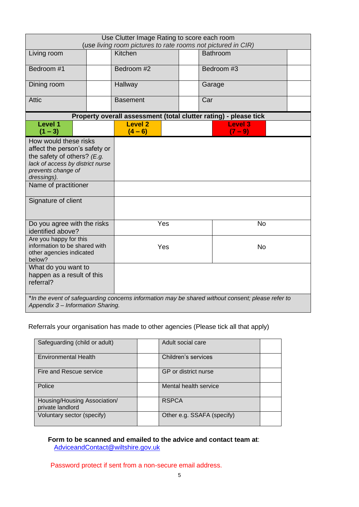| Use Clutter Image Rating to score each room<br>(use living room pictures to rate rooms not pictured in CIR)                                                                              |  |                             |     |                                                                  |  |  |  |
|------------------------------------------------------------------------------------------------------------------------------------------------------------------------------------------|--|-----------------------------|-----|------------------------------------------------------------------|--|--|--|
| Living room                                                                                                                                                                              |  | Kitchen                     |     | <b>Bathroom</b>                                                  |  |  |  |
| Bedroom #1                                                                                                                                                                               |  | Bedroom #2                  |     | Bedroom #3                                                       |  |  |  |
| Dining room                                                                                                                                                                              |  | Hallway                     |     | Garage                                                           |  |  |  |
| <b>Attic</b>                                                                                                                                                                             |  | <b>Basement</b>             | Car |                                                                  |  |  |  |
|                                                                                                                                                                                          |  |                             |     | Property overall assessment (total clutter rating) - please tick |  |  |  |
| <b>Level 1</b><br>$(1 - 3)$                                                                                                                                                              |  | <b>Level 2</b><br>$(4 - 6)$ |     | <b>Level 3</b><br>$(7 - 9)$                                      |  |  |  |
| How would these risks<br>affect the person's safety or<br>the safety of others? $(E.g.$<br>lack of access by district nurse<br>prevents change of<br>dressings).<br>Name of practitioner |  |                             |     |                                                                  |  |  |  |
| Signature of client                                                                                                                                                                      |  |                             |     |                                                                  |  |  |  |
| Do you agree with the risks<br>identified above?                                                                                                                                         |  | Yes                         |     | <b>No</b>                                                        |  |  |  |
| Are you happy for this<br>information to be shared with<br>other agencies indicated<br>below?                                                                                            |  | Yes<br><b>No</b>            |     |                                                                  |  |  |  |
| What do you want to<br>happen as a result of this<br>referral?                                                                                                                           |  |                             |     |                                                                  |  |  |  |
| *In the event of safeguarding concerns information may be shared without consent; please refer to<br>Appendix 3 - Information Sharing.                                                   |  |                             |     |                                                                  |  |  |  |

Referrals your organisation has made to other agencies (Please tick all that apply)

| Safeguarding (child or adult)                    | Adult social care          |  |
|--------------------------------------------------|----------------------------|--|
| <b>Environmental Health</b>                      | Children's services        |  |
| Fire and Rescue service                          | GP or district nurse       |  |
| Police                                           | Mental health service      |  |
| Housing/Housing Association/<br>private landlord | <b>RSPCA</b>               |  |
| Voluntary sector (specify)                       | Other e.g. SSAFA (specify) |  |

## **Form to be scanned and emailed to the advice and contact team at**: [AdviceandContact@wiltshire.gov.uk](mailto:AdviceandContact@wiltshire.gov.uk)

Password protect if sent from a non-secure email address.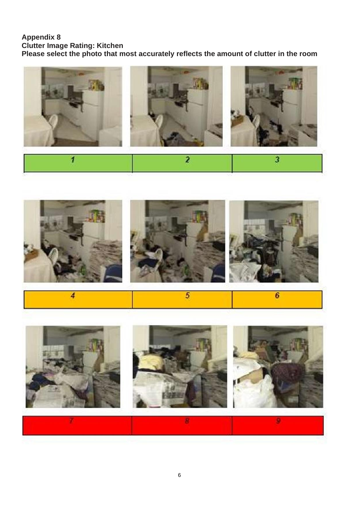## **Appendix 8**

**Clutter Image Rating: Kitchen**

**Please select the photo that most accurately reflects the amount of clutter in the room**





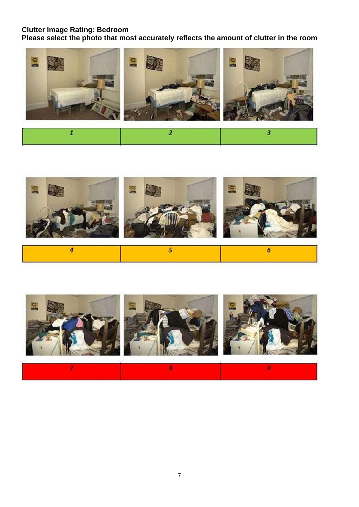## **Clutter Image Rating: Bedroom**

**Please select the photo that most accurately reflects the amount of clutter in the room**





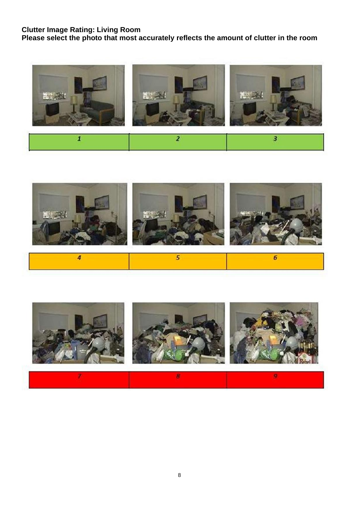## **Clutter Image Rating: Living Room**

**Please select the photo that most accurately reflects the amount of clutter in the room**





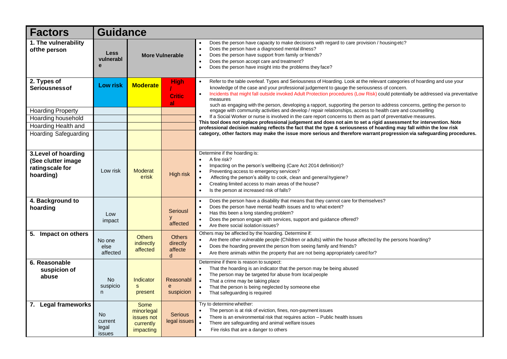| <b>Factors</b>                                                             | <b>Guidance</b>                                |                                                                   |                                           |                                                                                                                                                                                                                                                                                                                                                                                                                                                                                                                              |  |  |  |  |  |
|----------------------------------------------------------------------------|------------------------------------------------|-------------------------------------------------------------------|-------------------------------------------|------------------------------------------------------------------------------------------------------------------------------------------------------------------------------------------------------------------------------------------------------------------------------------------------------------------------------------------------------------------------------------------------------------------------------------------------------------------------------------------------------------------------------|--|--|--|--|--|
| 1. The vulnerability<br>of the person                                      | <b>Less</b><br>vulnerabl<br>e                  | <b>More Vulnerable</b>                                            |                                           | Does the person have capacity to make decisions with regard to care provision / housing etc?<br>$\bullet$<br>Does the person have a diagnosed mental illness?<br>$\bullet$<br>Does the person have support from family or friends?<br>$\bullet$<br>Does the person accept care and treatment?<br>$\bullet$<br>Does the person have insight into the problems they face?<br>$\bullet$                                                                                                                                         |  |  |  |  |  |
| 2. Types of<br><b>Seriousnessof</b>                                        | <b>Low risk</b>                                | <b>Moderate</b>                                                   | <b>High</b><br><b>Critic</b><br>al        | Refer to the table overleaf. Types and Seriousness of Hoarding. Look at the relevant categories of hoarding and use your<br>$\bullet$<br>knowledge of the case and your professional judgement to gauge the seriousness of concern.<br>Incidents that might fall outside invoked Adult Protection procedures (Low Risk) could potentially be addressed via preventative<br>$\bullet$<br>measures<br>such as engaging with the person, developing a rapport, supporting the person to address concerns, getting the person to |  |  |  |  |  |
| <b>Hoarding Property</b>                                                   |                                                |                                                                   |                                           | engage with community activities and develop / repair relationships, access to health care and counselling                                                                                                                                                                                                                                                                                                                                                                                                                   |  |  |  |  |  |
| Hoarding household                                                         |                                                |                                                                   |                                           | If a Social Worker or nurse is involved in the care report concerns to them as part of preventative measures.                                                                                                                                                                                                                                                                                                                                                                                                                |  |  |  |  |  |
| Hoarding Health and                                                        |                                                |                                                                   |                                           | This tool does not replace professional judgement and does not aim to set a rigid assessment for intervention. Note<br>professional decision making reflects the fact that the type & seriousness of hoarding may fall within the low risk                                                                                                                                                                                                                                                                                   |  |  |  |  |  |
| <b>Hoarding Safeguarding</b>                                               |                                                |                                                                   |                                           | category, other factors may make the issue more serious and therefore warrant progression via safeguarding procedures.                                                                                                                                                                                                                                                                                                                                                                                                       |  |  |  |  |  |
| 3. Level of hoarding<br>(See clutter image<br>ratingscale for<br>hoarding) | Low risk                                       | <b>Moderat</b><br>erisk                                           | High risk                                 | Determine if the hoarding is:<br>A fire risk?<br>$\bullet$<br>Impacting on the person's wellbeing (Care Act 2014 definition)?<br>$\bullet$<br>Preventing access to emergency services?<br>Affecting the person's ability to cook, clean and general hygiene?<br>$\bullet$<br>Creating limited access to main areas of the house?<br>$\bullet$<br>Is the person at increased risk of falls?                                                                                                                                   |  |  |  |  |  |
| 4. Background to<br>hoarding                                               | Low<br>impact                                  |                                                                   | Seriousl<br>affected                      | Does the person have a disability that means that they cannot care for themselves?<br>$\bullet$<br>Does the person have mental health issues and to what extent?<br>Has this been a long standing problem?<br>$\bullet$<br>Does the person engage with services, support and guidance offered?<br>$\bullet$<br>Are there social isolation issues?<br>$\bullet$                                                                                                                                                               |  |  |  |  |  |
| 5. Impact on others                                                        | No one<br>else<br>affected                     | <b>Others</b><br>indirectly<br>affected                           | <b>Others</b><br>directly<br>affecte<br>d | Others may be affected by the hoarding. Determine if:<br>Are there other vulnerable people (Children or adults) within the house affected by the persons hoarding?<br>$\bullet$<br>Does the hoarding prevent the person from seeing family and friends?<br>$\bullet$<br>Are there animals within the property that are not being appropriately cared for?<br>$\bullet$                                                                                                                                                       |  |  |  |  |  |
| 6. Reasonable<br>suspicion of<br>abuse                                     | No.<br>suspicio<br>n.                          | Indicator<br>$\mathbf{s}$<br>present                              | Reasonabl<br>$\mathbf{e}$<br>suspicion    | Determine if there is reason to suspect:<br>That the hoarding is an indicator that the person may be being abused<br>$\bullet$<br>The person may be targeted for abuse from local people<br>That a crime may be taking place<br>$\bullet$<br>That the person is being neglected by someone else<br>$\bullet$<br>That safeguarding is required<br>$\bullet$                                                                                                                                                                   |  |  |  |  |  |
| 7. Legal frameworks                                                        | <b>No</b><br>current<br>legal<br><b>issues</b> | Some<br>minorlegal<br>issues not<br>currently<br><i>impacting</i> | <b>Serious</b><br>legal issues            | Try to determine whether:<br>The person is at risk of eviction, fines, non-payment issues<br>$\bullet$<br>There is an environmental risk that requires action - Public health issues<br>$\bullet$<br>$\bullet$<br>There are safeguarding and animal welfare issues<br>Fire risks that are a danger to others<br>$\bullet$                                                                                                                                                                                                    |  |  |  |  |  |